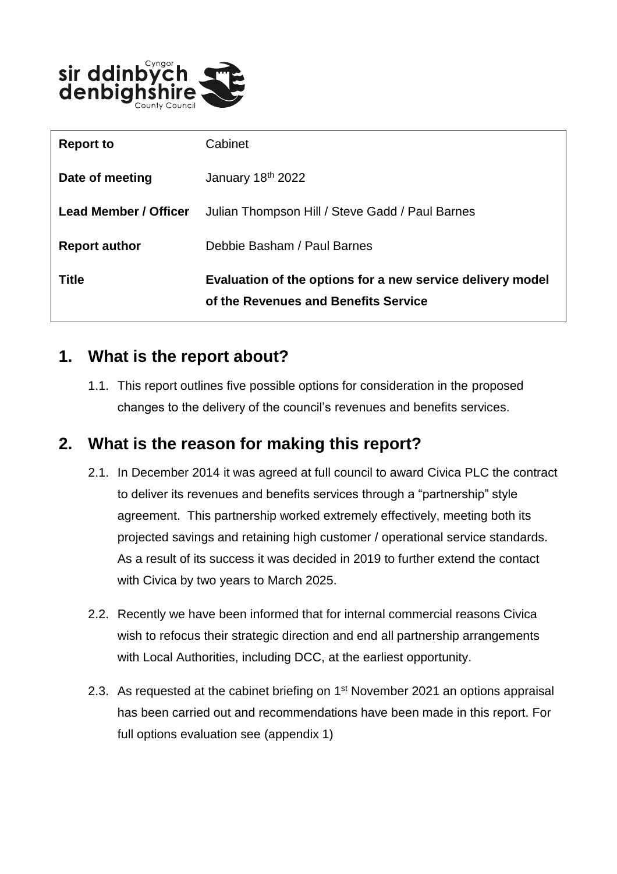

| <b>Title</b>                 | Evaluation of the options for a new service delivery model<br>of the Revenues and Benefits Service |
|------------------------------|----------------------------------------------------------------------------------------------------|
| <b>Report author</b>         | Debbie Basham / Paul Barnes                                                                        |
| <b>Lead Member / Officer</b> | Julian Thompson Hill / Steve Gadd / Paul Barnes                                                    |
| Date of meeting              | January 18th 2022                                                                                  |
| <b>Report to</b>             | Cabinet                                                                                            |

### **1. What is the report about?**

1.1. This report outlines five possible options for consideration in the proposed changes to the delivery of the council's revenues and benefits services.

## **2. What is the reason for making this report?**

- 2.1. In December 2014 it was agreed at full council to award Civica PLC the contract to deliver its revenues and benefits services through a "partnership" style agreement. This partnership worked extremely effectively, meeting both its projected savings and retaining high customer / operational service standards. As a result of its success it was decided in 2019 to further extend the contact with Civica by two years to March 2025.
- 2.2. Recently we have been informed that for internal commercial reasons Civica wish to refocus their strategic direction and end all partnership arrangements with Local Authorities, including DCC, at the earliest opportunity.
- 2.3. As requested at the cabinet briefing on  $1<sup>st</sup>$  November 2021 an options appraisal has been carried out and recommendations have been made in this report. For full options evaluation see (appendix 1)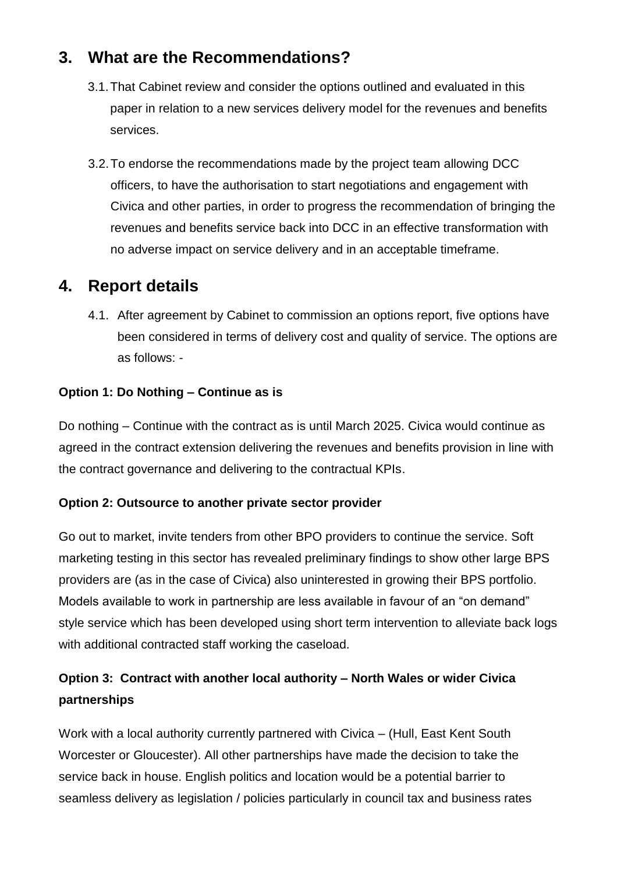# **3. What are the Recommendations?**

- 3.1.That Cabinet review and consider the options outlined and evaluated in this paper in relation to a new services delivery model for the revenues and benefits services.
- 3.2.To endorse the recommendations made by the project team allowing DCC officers, to have the authorisation to start negotiations and engagement with Civica and other parties, in order to progress the recommendation of bringing the revenues and benefits service back into DCC in an effective transformation with no adverse impact on service delivery and in an acceptable timeframe.

# **4. Report details**

4.1. After agreement by Cabinet to commission an options report, five options have been considered in terms of delivery cost and quality of service. The options are as follows: -

#### **Option 1: Do Nothing – Continue as is**

Do nothing – Continue with the contract as is until March 2025. Civica would continue as agreed in the contract extension delivering the revenues and benefits provision in line with the contract governance and delivering to the contractual KPIs.

#### **Option 2: Outsource to another private sector provider**

Go out to market, invite tenders from other BPO providers to continue the service. Soft marketing testing in this sector has revealed preliminary findings to show other large BPS providers are (as in the case of Civica) also uninterested in growing their BPS portfolio. Models available to work in partnership are less available in favour of an "on demand" style service which has been developed using short term intervention to alleviate back logs with additional contracted staff working the caseload.

### **Option 3: Contract with another local authority – North Wales or wider Civica partnerships**

Work with a local authority currently partnered with Civica – (Hull, East Kent South Worcester or Gloucester). All other partnerships have made the decision to take the service back in house. English politics and location would be a potential barrier to seamless delivery as legislation / policies particularly in council tax and business rates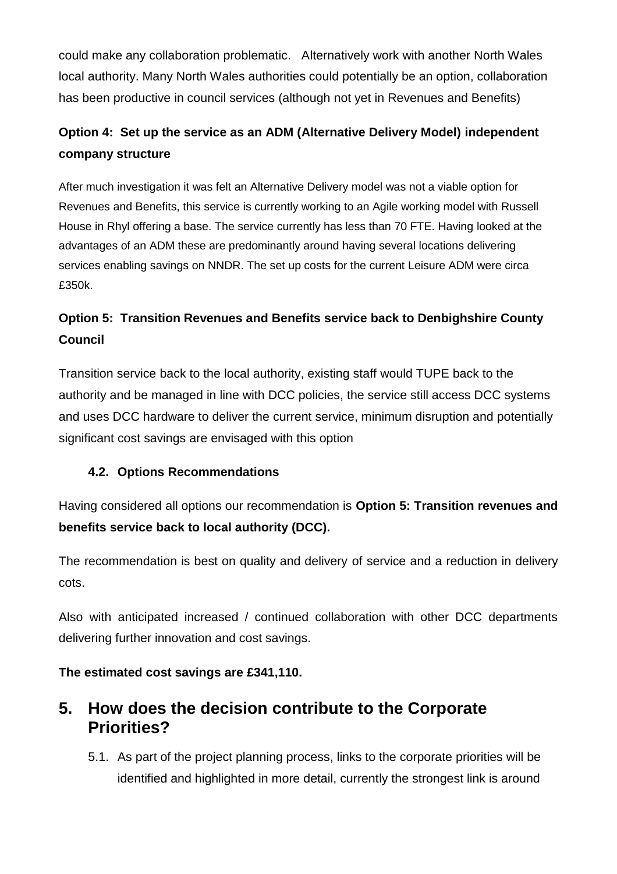could make any collaboration problematic. Alternatively work with another North Wales local authority. Many North Wales authorities could potentially be an option, collaboration has been productive in council services (although not yet in Revenues and Benefits)

### **Option 4: Set up the service as an ADM (Alternative Delivery Model) independent company structure**

After much investigation it was felt an Alternative Delivery model was not a viable option for Revenues and Benefits, this service is currently working to an Agile working model with Russell House in Rhyl offering a base. The service currently has less than 70 FTE. Having looked at the advantages of an ADM these are predominantly around having several locations delivering services enabling savings on NNDR. The set up costs for the current Leisure ADM were circa £350k.

### **Option 5: Transition Revenues and Benefits service back to Denbighshire County Council**

Transition service back to the local authority, existing staff would TUPE back to the authority and be managed in line with DCC policies, the service still access DCC systems and uses DCC hardware to deliver the current service, minimum disruption and potentially significant cost savings are envisaged with this option

#### **4.2. Options Recommendations**

Having considered all options our recommendation is **Option 5: Transition revenues and benefits service back to local authority (DCC).**

The recommendation is best on quality and delivery of service and a reduction in delivery cots.

Also with anticipated increased / continued collaboration with other DCC departments delivering further innovation and cost savings.

**The estimated cost savings are £341,110.**

### **5. How does the decision contribute to the Corporate Priorities?**

5.1. As part of the project planning process, links to the corporate priorities will be identified and highlighted in more detail, currently the strongest link is around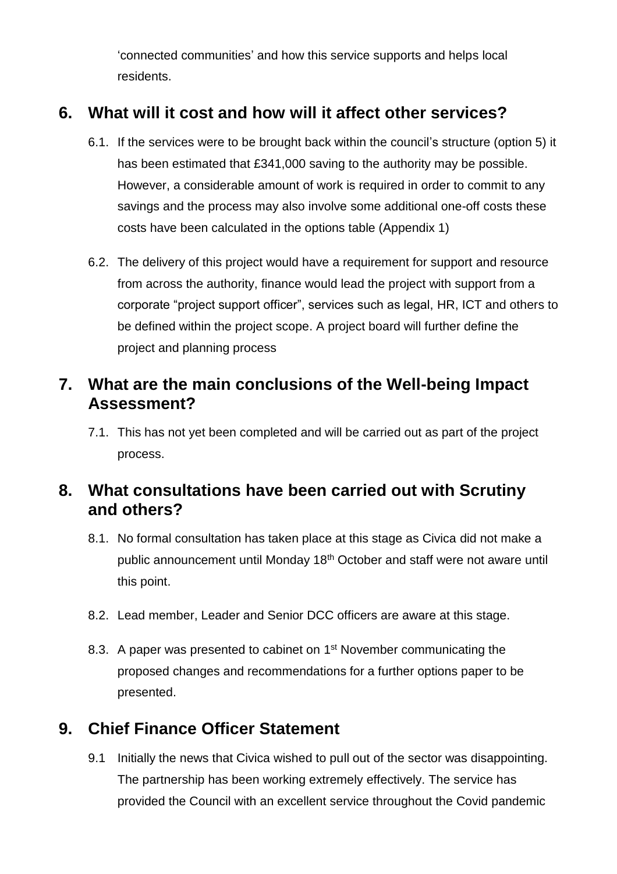'connected communities' and how this service supports and helps local residents.

# **6. What will it cost and how will it affect other services?**

- 6.1. If the services were to be brought back within the council's structure (option 5) it has been estimated that £341,000 saving to the authority may be possible. However, a considerable amount of work is required in order to commit to any savings and the process may also involve some additional one-off costs these costs have been calculated in the options table (Appendix 1)
- 6.2. The delivery of this project would have a requirement for support and resource from across the authority, finance would lead the project with support from a corporate "project support officer", services such as legal, HR, ICT and others to be defined within the project scope. A project board will further define the project and planning process

# **7. What are the main conclusions of the Well-being Impact Assessment?**

7.1. This has not yet been completed and will be carried out as part of the project process.

# **8. What consultations have been carried out with Scrutiny and others?**

- 8.1. No formal consultation has taken place at this stage as Civica did not make a public announcement until Monday 18<sup>th</sup> October and staff were not aware until this point.
- 8.2. Lead member, Leader and Senior DCC officers are aware at this stage.
- 8.3. A paper was presented to cabinet on 1<sup>st</sup> November communicating the proposed changes and recommendations for a further options paper to be presented.

# **9. Chief Finance Officer Statement**

9.1 Initially the news that Civica wished to pull out of the sector was disappointing. The partnership has been working extremely effectively. The service has provided the Council with an excellent service throughout the Covid pandemic